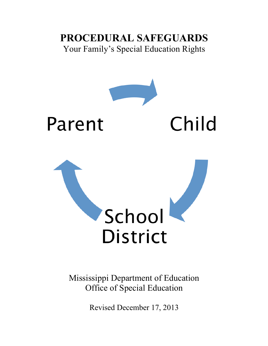# **PROCEDURAL SAFEGUARDS** Your Family's Special Education Rights



Mississippi Department of Education Office of Special Education

Revised December 17, 2013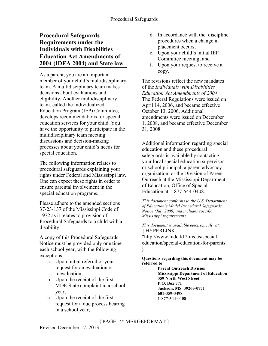# **Procedural Safeguards Requirements under the Individuals with Disabilities Education Act Amendments of 2004 (IDEA 2004) and State law**

As a parent, you are an important member of your child's multidisciplinary team. A multidisciplinary team makes decisions about evaluations and eligibility. Another multidisciplinary team, called the Individualized Education Program (IEP) Committee, develops recommendations for special education services for your child. You have the opportunity to participate in the multidisciplinary team meeting discussions and decision-making processes about your child's needs for special education.

The following information relates to procedural safeguards explaining your rights under Federal and Mississippi law. One can expect these rights in order to ensure parental involvement in the special education programs.

Please adhere to the amended sections 37-23-137 of the Mississippi Code of 1972 as it relates to provision of Procedural Safeguards to a child with a disability.

A copy of this Procedural Safeguards Notice must be provided only one time each school year, with the following exceptions:

- a. Upon initial referral or your request for an evaluation or reevaluation;
- b. Upon the receipt of the first MDE State complaint in a school year;
- c. Upon the receipt of the first request for a due process hearing in a school year;
- d. In accordance with the discipline procedures when a change in placement occurs;
- e. Upon your child's initial IEP Committee meeting; and
- f. Upon your request to receive a copy.

The revisions reflect the new mandates of the *Individuals with Disabilities Education Act Amendments of 2004*. The Federal Regulations were issued on April 14, 2006, and became effective October 13, 2006. Additional amendments were issued on December 1, 2008, and became effective December 31, 2008.

Additional information regarding special education and these procedural safeguards is available by contacting your local special education supervisor or school principal, a parent advocacy organization, or the Division of Parent Outreach at the Mississippi Department of Education, Office of Special Education at 1-877-544-0408.

*This document conforms to the U.S. Department of Education's Model Procedural Safeguards Notice (July 2009) and includes specific Mississippi requirements.*

*This document is available electronically at:* **{** HYPERLINK

"http://www.mde.k12.ms.us/specialeducation/special-education-for-parents" **}**

**Questions regarding this document may be referred to:**

> **Parent Outreach Division Mississippi Department of Education 359 North West Street P.O. Box 771 Jackson, MS 39205-0771 601-359-3498 1-877-544-0408**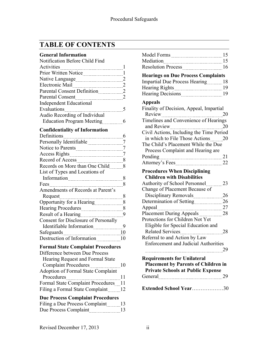# **TABLE OF CONTENTS**

| <b>General Information</b>                                 |              |
|------------------------------------------------------------|--------------|
| Notification Before Child Find                             |              |
| Activities                                                 | 1            |
|                                                            | 1            |
|                                                            | 2            |
| Electronic Mail                                            | <sup>2</sup> |
| Parental Consent Definition                                | 2            |
| Parental Consent [111] [12] Parental Consent               | 2            |
| <b>Independent Educational</b>                             |              |
| Evaluations                                                | 5            |
| Audio Recording of Individual                              |              |
| <b>Education Program Meeting</b>                           | 6            |
| <b>Confidentiality of Information</b>                      |              |
| Definitions                                                | 6            |
|                                                            | 7            |
| Notice to Parents                                          | 7            |
| <b>Access Rights</b>                                       | 7            |
| Record of Access                                           | 8            |
| Records on More than One Child                             | 8            |
| List of Types and Locations of                             |              |
| Information                                                | 8            |
| Fees                                                       | 8            |
| Amendments of Records at Parent's                          |              |
| Request                                                    | 8            |
| Opportunity for a Hearing                                  | 8            |
|                                                            | 8            |
| Result of a Hearing                                        | 9            |
| Consent for Disclosure of Personally                       |              |
| Identifiable Information                                   | 9            |
| Safeguards                                                 | 10           |
| Destruction of Information                                 | 10           |
| <b>Formal State Complaint Procedures</b>                   |              |
| Difference between Due Process                             |              |
| Hearing Request and Formal State                           |              |
|                                                            | 10           |
| Complaint Procedures<br>Adoption of Formal State Complaint |              |
| Procedures<br>                                             | 11           |
| Formal State Complaint Procedures 11                       |              |
| Filing a Formal State Complaint 12                         |              |
| <b>Due Process Complaint Procedures</b>                    |              |
| Eilina e Duo Drooga Comploint 12                           |              |

| Filing a Due Process Complaint | -13 |
|--------------------------------|-----|
| Due Process Complaint          | 13  |

|                                                               | 15       |
|---------------------------------------------------------------|----------|
| Mediation                                                     | 15<br>16 |
| <b>Hearings on Due Process Complaints</b>                     |          |
| <b>Impartial Due Process Hearing</b>                          | 18       |
|                                                               | 19       |
|                                                               | 19       |
| <b>Appeals</b>                                                |          |
| Finality of Decision, Appeal, Impartial                       |          |
| Review                                                        | 20       |
| Timelines and Convenience of Hearings                         |          |
| and Review                                                    | 20       |
| Civil Actions, Including the Time Period                      |          |
| in which to File Those Actions                                | 20       |
| The Child's Placement While the Due                           |          |
| Process Complaint and Hearing are                             |          |
| Pending<br>------------------------------                     | 21       |
| Attorney's Fees                                               | 22       |
| <b>Procedures When Disciplining</b>                           |          |
| <b>Children with Disabilities</b>                             |          |
| <b>Authority of School Personnel</b>                          | 23       |
| Change of Placement Because of                                |          |
| Disciplinary Removals                                         | 26       |
| Determination of Setting                                      | 26       |
| Appeal                                                        | 27       |
| Placement During Appeals<br>Protections for Children Not Yet  | 28       |
|                                                               |          |
| Eligible for Special Education and<br><b>Related Services</b> | 28       |
| Referral to and Action by Law                                 |          |
| <b>Enforcement and Judicial Authorities</b>                   |          |
|                                                               | 29       |
| <b>Requirements for Unilateral</b>                            |          |
| <b>Placement by Parents of Children in</b>                    |          |
| <b>Private Schools at Public Expense</b>                      |          |
| General 29                                                    |          |
|                                                               |          |
| Extended School Year30                                        |          |
|                                                               |          |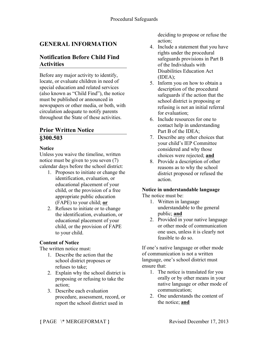# **GENERAL INFORMATION**

# **Notification Before Child Find Activities**

Before any major activity to identify, locate, or evaluate children in need of special education and related services (also known as "Child Find"), the notice must be published or announced in newspapers or other media, or both, with circulation adequate to notify parents throughout the State of these activities.

# **Prior Written Notice §300.503**

#### **Notice**

Unless you waive the timeline, written notice must be given to you seven (7) calendar days before the school district:

- 1. Proposes to initiate or change the identification, evaluation, or educational placement of your child, or the provision of a free appropriate public education (FAPE) to your child; **or**
- 2. Refuses to initiate or to change the identification, evaluation, or educational placement of your child, or the provision of FAPE to your child.

### **Content of Notice**

The written notice must:

- 1. Describe the action that the school district proposes or refuses to take;
- 2. Explain why the school district is proposing or refusing to take the action;
- 3. Describe each evaluation procedure, assessment, record, or report the school district used in

deciding to propose or refuse the action;

- 4. Include a statement that you have rights under the procedural safeguards provisions in Part B of the Individuals with Disabilities Education Act (IDEA);
- 5. Inform you on how to obtain a description of the procedural safeguards if the action that the school district is proposing or refusing is not an initial referral for evaluation;
- 6. Include resources for one to contact help in understanding Part B of the IDEA;
- 7. Describe any other choices that your child's IEP Committee considered and why those choices were rejected; **and**
- 8. Provide a description of other reasons as to why the school district proposed or refused the action.

#### **Notice in understandable language**

The notice must be:

- 1. Written in language understandable to the general public; **and**
- 2. Provided in your native language or other mode of communication one uses, unless it is clearly not feasible to do so.

If one's native language or other mode of communication is not a written language, one's school district must ensure that:

- 1. The notice is translated for you orally or by other means in your native language or other mode of communication;
- 2. One understands the content of the notice; **and**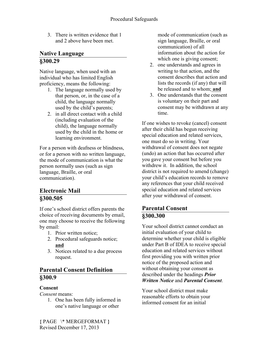3. There is written evidence that 1 and 2 above have been met.

### **Native Language §300.29**

Native language, when used with an individual who has limited English proficiency, means the following:

- 1. The language normally used by that person, or, in the case of a child, the language normally used by the child's parents;
- 2. in all direct contact with a child (including evaluation of the child), the language normally used by the child in the home or learning environment.

For a person with deafness or blindness, or for a person with no written language, the mode of communication is what the person normally uses (such as sign language, Braille, or oral communication).

# **Electronic Mail §300.505**

If one's school district offers parents the choice of receiving documents by email, one may choose to receive the following by email:

- 1. Prior written notice;
- 2. Procedural safeguards notice; **and**
- 3. Notices related to a due process request.

## **Parental Consent Definition §300.9**

### **Consent**

*Consent* means:

1. One has been fully informed in one's native language or other

mode of communication (such as sign language, Braille, or oral communication) of all information about the action for which one is giving consent;

- 2. one understands and agrees in writing to that action, and the consent describes that action and lists the records (if any) that will be released and to whom; **and**
- 3. One understands that the consent is voluntary on their part and consent may be withdrawn at any time.

If one wishes to revoke (cancel) consent after their child has begun receiving special education and related services, one must do so in writing. Your withdrawal of consent does not negate (undo) an action that has occurred after you gave your consent but before you withdrew it. In addition, the school district is not required to amend (change) your child's education records to remove any references that your child received special education and related services after your withdrawal of consent.

# **Parental Consent §300.300**

Your school district cannot conduct an initial evaluation of your child to determine whether your child is eligible under Part B of IDEA to receive special education and related services without first providing you with written prior notice of the proposed action and without obtaining your consent as described under the headings *Prior Written Notice* and *Parental Consent*.

Your school district must make reasonable efforts to obtain your informed consent for an initial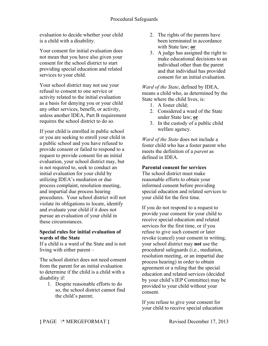evaluation to decide whether your child is a child with a disability.

Your consent for initial evaluation does not mean that you have also given your consent for the school district to start providing special education and related services to your child.

Your school district may not use your refusal to consent to one service or activity related to the initial evaluation as a basis for denying you or your child any other services, benefit, or activity, unless another IDEA, Part B requirement requires the school district to do so.

If your child is enrolled in public school or you are seeking to enroll your child in a public school and you have refused to provide consent or failed to respond to a request to provide consent for an initial evaluation, your school district may, but is not required to, seek to conduct an initial evaluation for your child by utilizing IDEA's mediation or due process complaint, resolution meeting, and impartial due process hearing procedures. Your school district will not violate its obligations to locate, identify and evaluate your child if it does not pursue an evaluation of your child in these circumstances.

#### **Special rules for initial evaluation of wards of the State**

If a child is a ward of the State and is not living with either parent –

The school district does not need consent from the parent for an initial evaluation to determine if the child is a child with a disability if:

1. Despite reasonable efforts to do so, the school district cannot find the child's parent;

- 2. The rights of the parents have been terminated in accordance with State law; **or**
- 3. A judge has assigned the right to make educational decisions to an individual other than the parent and that individual has provided consent for an initial evaluation.

*Ward of the State*, defined by IDEA, means a child who, as determined by the State where the child lives, is:

- 1. A foster child:
- 2. Considered a ward of the State under State law; **or**
- 3. In the custody of a public child welfare agency.

*Ward of the State* does not include a foster child who has a foster parent who meets the definition of a *parent* as defined in IDEA.

#### **Parental consent for services**

The school district must make reasonable efforts to obtain your informed consent before providing special education and related services to your child for the first time.

If you do not respond to a request to provide your consent for your child to receive special education and related services for the first time, or if you refuse to give such consent or later revoke (cancel) your consent in writing, your school district may **not** use the procedural safeguards (i.e., mediation, resolution meeting, or an impartial due process hearing) in order to obtain agreement or a ruling that the special education and related services (decided by your child's IEP Committee) may be provided to your child without your consent.

If you refuse to give your consent for your child to receive special education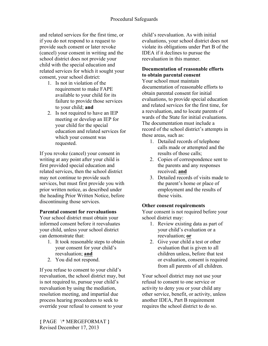and related services for the first time, or if you do not respond to a request to provide such consent or later revoke (cancel) your consent in writing and the school district does not provide your child with the special education and related services for which it sought your consent, your school district:

- 1. Is not in violation of the requirement to make FAPE available to your child for its failure to provide those services to your child; **and**
- 2. Is not required to have an IEP meeting or develop an IEP for your child for the special education and related services for which your consent was requested.

If you revoke (cancel) your consent in writing at any point after your child is first provided special education and related services, then the school district may not continue to provide such services, but must first provide you with prior written notice, as described under the heading Prior Written Notice, before discontinuing those services.

#### **Parental consent for reevaluations**

Your school district must obtain your informed consent before it reevaluates your child, unless your school district can demonstrate that:

- 1. It took reasonable steps to obtain your consent for your child's reevaluation; **and**
- 2. You did not respond.

If you refuse to consent to your child's reevaluation, the school district may, but is not required to, pursue your child's reevaluation by using the mediation, resolution meeting, and impartial due process hearing procedures to seek to override your refusal to consent to your

child's reevaluation. As with initial evaluations, your school district does not violate its obligations under Part B of the IDEA if it declines to pursue the reevaluation in this manner.

#### **Documentation of reasonable efforts to obtain parental consent**

Your school must maintain documentation of reasonable efforts to obtain parental consent for initial evaluations, to provide special education and related services for the first time, for a reevaluation, and to locate parents of wards of the State for initial evaluations. The documentation must include a record of the school district's attempts in these areas, such as:

- 1. Detailed records of telephone calls made or attempted and the results of those calls;
- 2. Copies of correspondence sent to the parents and any responses received; **and**
- 3. Detailed records of visits made to the parent's home or place of employment and the results of those visits.

### **Other consent requirements**

Your consent is not required before your school district may:

- 1. Review existing data as part of your child's evaluation or a reevaluation; **or**
- 2. Give your child a test or other evaluation that is given to all children unless, before that test or evaluation, consent is required from all parents of all children.

Your school district may not use your refusal to consent to one service or activity to deny you or your child any other service, benefit, or activity, unless another IDEA, Part B requirement requires the school district to do so.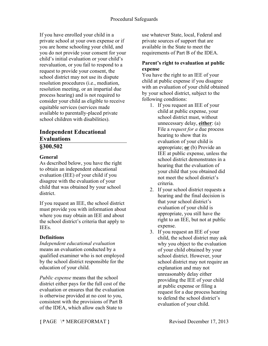If you have enrolled your child in a private school at your own expense or if you are home schooling your child, and you do not provide your consent for your child's initial evaluation or your child's reevaluation, or you fail to respond to a request to provide your consent, the school district may not use its dispute resolution procedures (i.e., mediation, resolution meeting, or an impartial due process hearing) and is not required to consider your child as eligible to receive equitable services (services made available to parentally-placed private school children with disabilities).

### **Independent Educational Evaluations §300.502**

#### **General**

As described below, you have the right to obtain an independent educational evaluation (IEE) of your child if you disagree with the evaluation of your child that was obtained by your school district.

If you request an IEE, the school district must provide you with information about where you may obtain an IEE and about the school district's criteria that apply to IEEs.

### **Definitions**

*Independent educational evaluation*  means an evaluation conducted by a qualified examiner who is not employed by the school district responsible for the education of your child.

*Public expense* means that the school district either pays for the full cost of the evaluation or ensures that the evaluation is otherwise provided at no cost to you, consistent with the provisions of Part B of the IDEA, which allow each State to

use whatever State, local, Federal and private sources of support that are available in the State to meet the requirements of Part B of the IDEA.

#### **Parent's right to evaluation at public expense**

You have the right to an IEE of your child at public expense if you disagree with an evaluation of your child obtained by your school district, subject to the following conditions:

- 1. If you request an IEE of your child at public expense, your school district must, without unnecessary delay, **either**: (a) File a *request for a* due process hearing to show that its evaluation of your child is appropriate; **or** (b) Provide an IEE at public expense, unless the school district demonstrates in a hearing that the evaluation of your child that you obtained did not meet the school district's criteria.
- 2. If your school district requests a hearing and the final decision is that your school district's evaluation of your child is appropriate, you still have the right to an IEE, but not at public expense.
- 3. If you request an IEE of your child, the school district may ask why you object to the evaluation of your child obtained by your school district. However, your school district may not require an explanation and may not unreasonably delay either providing the IEE of your child at public expense or filing a request for a due process hearing to defend the school district's evaluation of your child.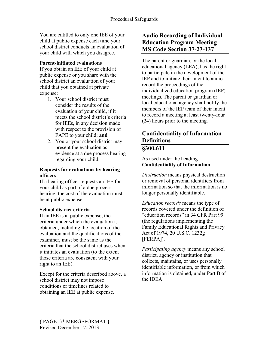You are entitled to only one IEE of your child at public expense each time your school district conducts an evaluation of your child with which you disagree.

#### **Parent-initiated evaluations**

If you obtain an IEE of your child at public expense or you share with the school district an evaluation of your child that you obtained at private expense:

- 1. Your school district must consider the results of the evaluation of your child, if it meets the school district's criteria for IEEs, in any decision made with respect to the provision of FAPE to your child; **and**
- 2. You or your school district may present the evaluation as evidence at a due process hearing regarding your child.

#### **Requests for evaluations by hearing officers**

If a hearing officer requests an IEE for your child as part of a due process hearing, the cost of the evaluation must be at public expense.

#### **School district criteria**

If an IEE is at public expense, the criteria under which the evaluation is obtained, including the location of the evaluation and the qualifications of the examiner, must be the same as the criteria that the school district uses when it initiates an evaluation (to the extent those criteria are consistent with your right to an IEE).

Except for the criteria described above, a school district may not impose conditions or timelines related to obtaining an IEE at public expense.

### **Audio Recording of Individual Education Program Meeting MS Code Section 37-23-137**

The parent or guardian, or the local educational agency (LEA), has the right to participate in the development of the IEP and to initiate their intent to audio record the proceedings of the individualized education program (IEP) meetings. The parent or guardian or local educational agency shall notify the members of the IEP team of their intent to record a meeting at least twenty-four (24) hours prior to the meeting.

### **Confidentiality of Information Definitions §300.611**

As used under the heading **Confidentiality of Information**:

*Destruction* means physical destruction or removal of personal identifiers from information so that the information is no longer personally identifiable.

*Education records* means the type of records covered under the definition of "education records" in 34 CFR Part 99 (the regulations implementing the Family Educational Rights and Privacy Act of 1974, 20 U.S.C. 1232g [FERPA]).

*Participating agency* means any school district, agency or institution that collects, maintains, or uses personally identifiable information, or from which information is obtained, under Part B of the IDEA.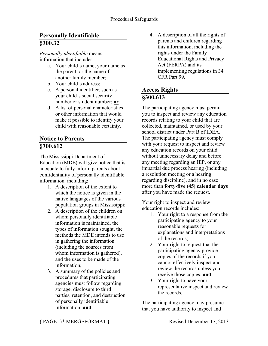# **Personally Identifiable §300.32**

*Personally identifiable* means information that includes:

- a. Your child's name, your name as the parent, or the name of another family member;
- b. Your child's address;
- c. A personal identifier, such as your child's social security number or student number; **or**
- d. A list of personal characteristics or other information that would make it possible to identify your child with reasonable certainty.

# **Notice to Parents §300.612**

The Mississippi Department of Education (MDE) will give notice that is adequate to fully inform parents about confidentiality of personally identifiable information, including:

- 1. A description of the extent to which the notice is given in the native languages of the various population groups in Mississippi;
- 2. A description of the children on whom personally identifiable information is maintained, the types of information sought, the methods the MDE intends to use in gathering the information (including the sources from whom information is gathered). and the uses to be made of the information;
- 3. A summary of the policies and procedures that participating agencies must follow regarding storage, disclosure to third parties, retention, and destruction of personally identifiable information; **and**

4. A description of all the rights of parents and children regarding this information, including the rights under the Family Educational Rights and Privacy Act (FERPA) and its implementing regulations in 34 CFR Part 99.

# **Access Rights §300.613**

The participating agency must permit you to inspect and review any education records relating to your child that are collected, maintained, or used by your school district under Part B of IDEA. The participating agency must comply with your request to inspect and review any education records on your child without unnecessary delay and before any meeting regarding an IEP, or any impartial due process hearing (including a resolution meeting or a hearing regarding discipline), and in no case more than **forty-five (45) calendar days** after you have made the request.

Your right to inspect and review education records includes:

- 1. Your right to a response from the participating agency to your reasonable requests for explanations and interpretations of the records;
- 2. Your right to request that the participating agency provide copies of the records if you cannot effectively inspect and review the records unless you receive those copies; **and**
- 3. Your right to have your representative inspect and review the records.

The participating agency may presume that you have authority to inspect and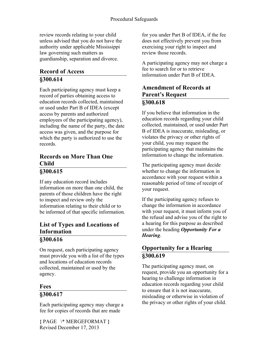review records relating to your child unless advised that you do not have the authority under applicable Mississippi law governing such matters as guardianship, separation and divorce.

# **Record of Access §300.614**

Each participating agency must keep a record of parties obtaining access to education records collected, maintained or used under Part B of IDEA (except access by parents and authorized employees of the participating agency), including the name of the party, the date access was given, and the purpose for which the party is authorized to use the records.

# **Records on More Than One Child**

# **§300.615**

If any education record includes information on more than one child, the parents of those children have the right to inspect and review only the information relating to their child or to be informed of that specific information.

### **List of Types and Locations of Information §300.616**

On request, each participating agency must provide you with a list of the types and locations of education records collected, maintained or used by the agency.

# **Fees**

### **§300.617**

Each participating agency may charge a fee for copies of records that are made

**{** PAGE \\* MERGEFORMAT **}** Revised December 17, 2013

for you under Part B of IDEA, if the fee does not effectively prevent you from exercising your right to inspect and review those records.

A participating agency may not charge a fee to search for or to retrieve information under Part B of IDEA.

## **Amendment of Records at Parent's Request §300.618**

If you believe that information in the education records regarding your child collected, maintained, or used under Part B of IDEA is inaccurate, misleading, or violates the privacy or other rights of your child, you may request the participating agency that maintains the information to change the information.

The participating agency must decide whether to change the information in accordance with your request within a reasonable period of time of receipt of your request.

If the participating agency refuses to change the information in accordance with your request, it must inform you of the refusal and advise you of the right to a hearing for this purpose as described under the heading *Opportunity For a Hearing*.

# **Opportunity for a Hearing §300.619**

The participating agency must, on request, provide you an opportunity for a hearing to challenge information in education records regarding your child to ensure that it is not inaccurate, misleading or otherwise in violation of the privacy or other rights of your child.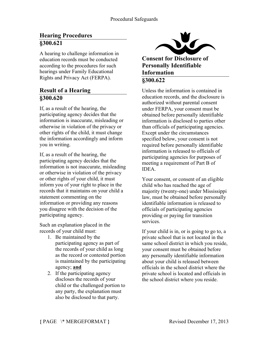# **Hearing Procedures §300.621**

A hearing to challenge information in education records must be conducted according to the procedures for such hearings under Family Educational Rights and Privacy Act (FERPA).

### **Result of a Hearing §300.620**

If, as a result of the hearing, the participating agency decides that the information is inaccurate, misleading or otherwise in violation of the privacy or other rights of the child, it must change the information accordingly and inform you in writing.

If, as a result of the hearing, the participating agency decides that the information is not inaccurate, misleading or otherwise in violation of the privacy or other rights of your child, it must inform you of your right to place in the records that it maintains on your child a statement commenting on the information or providing any reasons you disagree with the decision of the participating agency.

Such an explanation placed in the records of your child must:

- 1. Be maintained by the participating agency as part of the records of your child as long as the record or contested portion is maintained by the participating agency; **and**
- 2. If the participating agency discloses the records of your child or the challenged portion to any party, the explanation must also be disclosed to that party.



**Consent for Disclosure of Personally Identifiable Information §300.622**

Unless the information is contained in education records, and the disclosure is authorized without parental consent under FERPA, your consent must be obtained before personally identifiable information is disclosed to parties other than officials of participating agencies. Except under the circumstances specified below, your consent is not required before personally identifiable information is released to officials of participating agencies for purposes of meeting a requirement of Part B of **IDEA** 

Your consent, or consent of an eligible child who has reached the age of majority (twenty-one) under Mississippi law, must be obtained before personally identifiable information is released to officials of participating agencies providing or paying for transition services.

If your child is in, or is going to go to, a private school that is not located in the same school district in which you reside, your consent must be obtained before any personally identifiable information about your child is released between officials in the school district where the private school is located and officials in the school district where you reside.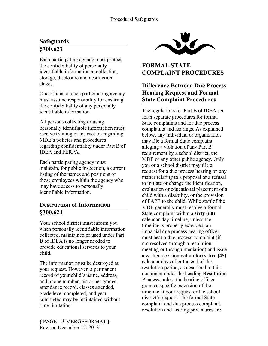# **Safeguards §300.623**

Each participating agency must protect the confidentiality of personally identifiable information at collection, storage, disclosure and destruction stages.

One official at each participating agency must assume responsibility for ensuring the confidentiality of any personally identifiable information.

All persons collecting or using personally identifiable information must receive training or instruction regarding MDE's policies and procedures regarding confidentiality under Part B of IDEA and FERPA.

Each participating agency must maintain, for public inspection, a current listing of the names and positions of those employees within the agency who may have access to personally identifiable information.

# **Destruction of Information §300.624**

Your school district must inform you when personally identifiable information collected, maintained or used under Part B of IDEA is no longer needed to provide educational services to your child.

The information must be destroyed at your request. However, a permanent record of your child's name, address, and phone number, his or her grades, attendance record, classes attended, grade level completed, and year completed may be maintained without time limitation.



# **FORMAL STATE COMPLAINT PROCEDURES**

### **Difference Between Due Process Hearing Request and Formal State Complaint Procedures**

The regulations for Part B of IDEA set forth separate procedures for formal State complaints and for due process complaints and hearings. As explained below, any individual or organization may file a formal State complaint alleging a violation of any Part B requirement by a school district, the MDE or any other public agency. Only you or a school district may file a request for a due process hearing on any matter relating to a proposal or a refusal to initiate or change the identification, evaluation or educational placement of a child with a disability, or the provision of FAPE to the child. While staff of the MDE generally must resolve a formal State complaint within a **sixty (60)** calendar-day timeline, unless the timeline is properly extended, an impartial due process hearing officer must hear a due process complaint (if not resolved through a resolution meeting or through mediation) and issue a written decision within **forty-five (45)** calendar days after the end of the resolution period, as described in this document under the heading **Resolution Process**, unless the hearing officer grants a specific extension of the timeline at your request or the school district's request. The formal State complaint and due process complaint, resolution and hearing procedures are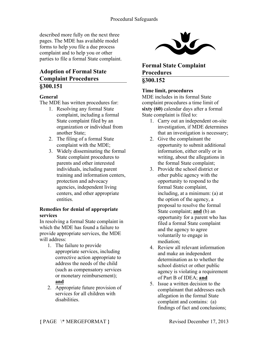described more fully on the next three pages. The MDE has available model forms to help you file a due process complaint and to help you or other parties to file a formal State complaint.

## **Adoption of Formal State Complaint Procedures §300.151**

#### **General**

The MDE has written procedures for:

- 1. Resolving any formal State complaint, including a formal State complaint filed by an organization or individual from another State;
- 2. The filing of a formal State complaint with the MDE;
- 3. Widely disseminating the formal State complaint procedures to parents and other interested individuals, including parent training and information centers, protection and advocacy agencies, independent living centers, and other appropriate entities.

#### **Remedies for denial of appropriate services**

In resolving a formal State complaint in which the MDE has found a failure to provide appropriate services, the MDE will address:

- 1. The failure to provide appropriate services, including corrective action appropriate to address the needs of the child (such as compensatory services or monetary reimbursement); **and**
- 2. Appropriate future provision of services for all children with disabilities.



**Formal State Complaint Procedures §300.152**

#### **Time limit, procedures**

MDE includes in its formal State complaint procedures a time limit of **sixty (60)** calendar days after a formal State complaint is filed to:

- 1. Carry out an independent on-site investigation, if MDE determines that an investigation is necessary;
- 2. Give the complainant the opportunity to submit additional information, either orally or in writing, about the allegations in the formal State complaint;
- 3. Provide the school district or other public agency with the opportunity to respond to the formal State complaint, including, at a minimum: (a) at the option of the agency, a proposal to resolve the formal State complaint; **and** (b) an opportunity for a parent who has filed a formal State complaint and the agency to agree voluntarily to engage in mediation;
- 4. Review all relevant information and make an independent determination as to whether the school district or other public agency is violating a requirement of Part B of IDEA; **and**
- 5. Issue a written decision to the complainant that addresses each allegation in the formal State complaint and contains: (a) findings of fact and conclusions;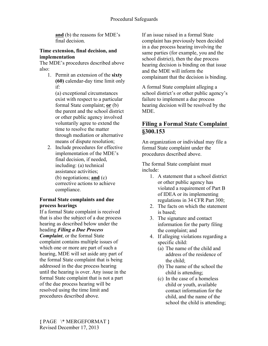**and** (b) the reasons for MDE's final decision.

#### **Time extension, final decision, and implementation**

The MDE's procedures described above also:

1. Permit an extension of the **sixty (60)** calendar-day time limit only if:

(a) exceptional circumstances exist with respect to a particular formal State complaint; **or** (b) the parent and the school district or other public agency involved voluntarily agree to extend the time to resolve the matter through mediation or alternative means of dispute resolution;

2. Include procedures for effective implementation of the MDE's final decision, if needed, including: (a) technical assistance activities; (b) negotiations; **and** (c)

corrective actions to achieve compliance.

#### **Formal State complaints and due process hearings**

If a formal State complaint is received that is also the subject of a due process hearing as described below under the heading *Filing a Due Process Complaint*, or the formal State complaint contains multiple issues of which one or more are part of such a hearing, MDE will set aside any part of the formal State complaint that is being addressed in the due process hearing until the hearing is over. Any issue in the formal State complaint that is not a part of the due process hearing will be resolved using the time limit and procedures described above.

If an issue raised in a formal State complaint has previously been decided in a due process hearing involving the same parties (for example, you and the school district), then the due process hearing decision is binding on that issue and the MDE will inform the complainant that the decision is binding.

A formal State complaint alleging a school district's or other public agency's failure to implement a due process hearing decision will be resolved by the MDE.

# **Filing a Formal State Complaint §300.153**

An organization or individual may file a formal State complaint under the procedures described above.

The formal State complaint must include:

- 1. A statement that a school district or other public agency has violated a requirement of Part B of IDEA or its implementing regulations in 34 CFR Part 300;
- 2. The facts on which the statement is based:
- 3. The signature and contact information for the party filing the complaint; and
- 4. If alleging violations regarding a specific child:
	- (a) The name of the child and address of the residence of the child;
	- (b) The name of the school the child is attending;
	- (c) In the case of a homeless child or youth, available contact information for the child, and the name of the school the child is attending;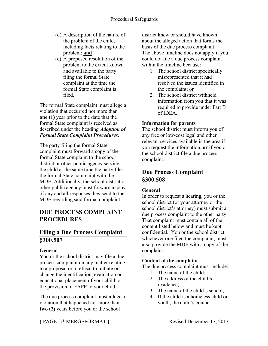- (d) A description of the nature of the problem of the child, including facts relating to the problem; **and**
- (e) A proposed resolution of the problem to the extent known and available to the party filing the formal State complaint at the time the formal State complaint is filed.

The formal State complaint must allege a violation that occurred not more than **one (1)** year prior to the date that the formal State complaint is received as described under the heading *Adoption of Formal State Complaint Procedures*.

The party filing the formal State complaint must forward a copy of the formal State complaint to the school district or other public agency serving the child at the same time the party files the formal State complaint with the MDE. Additionally, the school district or other public agency must forward a copy of any and all responses they send to the MDE regarding said formal complaint.

# **DUE PROCESS COMPLAINT PROCEDURES**

## **Filing a Due Process Complaint §300.507**

#### **General**

You or the school district may file a due process complaint on any matter relating to a proposal or a refusal to initiate or change the identification, evaluation or educational placement of your child, or the provision of FAPE to your child.

The due process complaint must allege a violation that happened not more than **two (2)** years before you or the school

district knew or should have known about the alleged action that forms the basis of the due process complaint. The above timeline does not apply if you could not file a due process complaint within the timeline because:

- 1. The school district specifically misrepresented that it had resolved the issues identified in the complaint; **or**
- 2. The school district withheld information from you that it was required to provide under Part B of IDEA.

#### **Information for parents**

The school district must inform you of any free or low-cost legal and other relevant services available in the area if you request the information, **or** if you or the school district file a due process complaint.

## **Due Process Complaint §300.508**

### **General**

In order to request a hearing, you or the school district (or your attorney or the school district's attorney) must submit a due process complaint to the other party. That complaint must contain all of the content listed below and must be kept confidential. You or the school district, whichever one filed the complaint, must also provide the MDE with a copy of the complaint.

### **Content of the complaint**

The due process complaint must include:

- 1. The name of the child;
- 2. The address of the child's residence;
- 3. The name of the child's school;
- 4. If the child is a homeless child or youth, the child's contact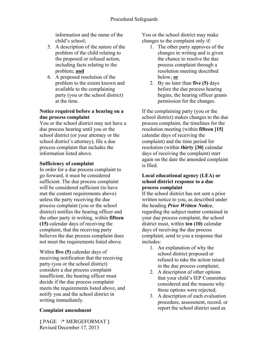information and the name of the child's school;

- 5. A description of the nature of the problem of the child relating to the proposed or refused action, including facts relating to the problem; **and**
- 6. A proposed resolution of the problem to the extent known and available to the complaining party (you or the school district) at the time.

#### **Notice required before a hearing on a due process complaint**

You or the school district may not have a due process hearing until you or the school district (or your attorney or the school district's attorney), file a due process complaint that includes the information listed above.

#### **Sufficiency of complaint**

In order for a due process complaint to go forward, it must be considered sufficient. The due process complaint will be considered sufficient (to have met the content requirements above) unless the party receiving the due process complaint (you or the school district) notifies the hearing officer and the other party in writing, within **fifteen (15)** calendar days of receiving the complaint, that the receiving party believes the due process complaint does not meet the requirements listed above.

Within **five (5)** calendar days of receiving notification that the receiving party (you or the school district) considers a due process complaint insufficient, the hearing officer must decide if the due process complaint meets the requirements listed above, and notify you and the school district in writing immediately.

#### **Complaint amendment**

**{** PAGE \\* MERGEFORMAT **}** Revised December 17, 2013

You or the school district may make changes to the complaint only if:

- 1. The other party approves of the changes in writing and is given the chance to resolve the due process complaint through a resolution meeting described below; **or**
- 2. By no later than **five (5)** days before the due process hearing begins, the hearing officer grants permission for the changes.

If the complaining party (you or the school district) makes changes to the due process complaint, the timelines for the resolution meeting (within **fifteen [15]** calendar days of receiving the complaint) and the time period for resolution (within **thirty [30]** calendar days of receiving the complaint) start again on the date the amended complaint is filed.

#### **Local educational agency (LEA) or school district response to a due process complaint**

If the school district has not sent a prior written notice to you, as described under the heading *Prior Written Notice*, regarding the subject matter contained in your due process complaint, the school district must, within **ten (10)** calendar days of receiving the due process complaint, send to you a response that includes:

- 1. An explanation of why the school district proposed or refused to take the action raised in the due process complaint;
- 2. A description of other options that your child's IEP Committee considered and the reasons why those options were rejected;
- 3. A description of each evaluation procedure, assessment, record, or report the school district used as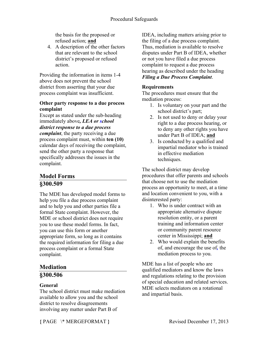the basis for the proposed or refused action; **and**

4. A description of the other factors that are relevant to the school district's proposed or refused action.

Providing the information in items 1-4 above does not prevent the school district from asserting that your due process complaint was insufficient.

#### **Other party response to a due process complaint**

Except as stated under the sub-heading immediately above*, LEA or school district response to a due process complaint*, the party receiving a due process complaint must, within **ten (10)** calendar days of receiving the complaint, send the other party a response that specifically addresses the issues in the complaint.

## **Model Forms §300.509**

The MDE has developed model forms to help you file a due process complaint and to help you and other parties file a formal State complaint. However, the MDE or school district does not require you to use these model forms. In fact, you can use this form or another appropriate form, so long as it contains the required information for filing a due process complaint or a formal State complaint.

# **Mediation**

### **§300.506**

### **General**

The school district must make mediation available to allow you and the school district to resolve disagreements involving any matter under Part B of

IDEA, including matters arising prior to the filing of a due process complaint. Thus, mediation is available to resolve disputes under Part B of IDEA, whether or not you have filed a due process complaint to request a due process hearing as described under the heading *Filing a Due Process Complaint*.

#### **Requirements**

The procedures must ensure that the mediation process:

- 1. Is voluntary on your part and the school district's part;
- 2. Is not used to deny or delay your right to a due process hearing, or to deny any other rights you have under Part B of IDEA; **and**
- 3. Is conducted by a qualified and impartial mediator who is trained in effective mediation techniques.

The school district may develop procedures that offer parents and schools that choose not to use the mediation process an opportunity to meet, at a time and location convenient to you, with a disinterested party:

- 1. Who is under contract with an appropriate alternative dispute resolution entity, or a parent training and information center or community parent resource center in Mississippi; **and**
- 2. Who would explain the benefits of, and encourage the use of*,* the mediation process to you.

MDE has a list of people who are qualified mediators and know the laws and regulations relating to the provision of special education and related services. MDE selects mediators on a rotational and impartial basis.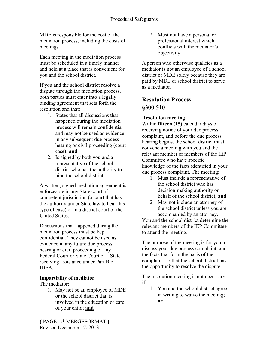MDE is responsible for the cost of the mediation process, including the costs of meetings.

Each meeting in the mediation process must be scheduled in a timely manner and held at a place that is convenient for you and the school district.

If you and the school district resolve a dispute through the mediation process, both parties must enter into a legally binding agreement that sets forth the resolution and that:

- 1. States that all discussions that happened during the mediation process will remain confidential and may not be used as evidence in any subsequent due process hearing or civil proceeding (court case); **and**
- 2. Is signed by both you and a representative of the school district who has the authority to bind the school district.

A written, signed mediation agreement is enforceable in any State court of competent jurisdiction (a court that has the authority under State law to hear this type of case) or in a district court of the United States.

Discussions that happened during the mediation process must be kept confidential. They cannot be used as evidence in any future due process hearing or civil proceeding of any Federal Court or State Court of a State receiving assistance under Part B of **IDEA** 

### **Impartiality of mediator**

The mediator:

1. May not be an employee of MDE or the school district that is involved in the education or care of your child; **and**

2. Must not have a personal or professional interest which conflicts with the mediator's objectivity.

A person who otherwise qualifies as a mediator is not an employee of a school district or MDE solely because they are paid by MDE or school district to serve as a mediator.

# **Resolution Process §300.510**

### **Resolution meeting**

Within **fifteen (15)** calendar days of receiving notice of your due process complaint, and before the due process hearing begins, the school district must convene a meeting with you and the relevant member or members of the IEP Committee who have specific knowledge of the facts identified in your due process complaint. The meeting:

- 1. Must include a representative of the school district who has decision-making authority on behalf of the school district; **and**
- 2. May not include an attorney of the school district unless you are accompanied by an attorney.

You and the school district determine the relevant members of the IEP Committee to attend the meeting.

The purpose of the meeting is for you to discuss your due process complaint, and the facts that form the basis of the complaint, so that the school district has the opportunity to resolve the dispute.

The resolution meeting is not necessary if:

1. You and the school district agree in writing to waive the meeting; **or**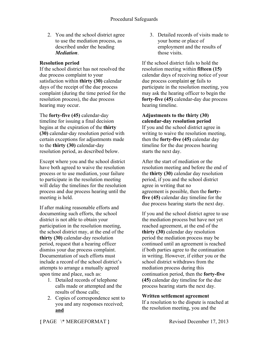2. You and the school district agree to use the mediation process, as described under the heading *Mediation*.

#### **Resolution period**

If the school district has not resolved the due process complaint to your satisfaction within **thirty (30)** calendar days of the receipt of the due process complaint (during the time period for the resolution process), the due process hearing may occur.

The **forty-five (45)** calendar-day timeline for issuing a final decision begins at the expiration of the **thirty (30)** calendar-day resolution period with certain exceptions for adjustments made to the **thirty (30)** calendar-day resolution period, as described below.

Except where you and the school district have both agreed to waive the resolution process or to use mediation, your failure to participate in the resolution meeting will delay the timelines for the resolution process and due process hearing until the meeting is held.

If after making reasonable efforts and documenting such efforts, the school district is not able to obtain your participation in the resolution meeting, the school district may, at the end of the **thirty (30)** calendar-day resolution period, request that a hearing officer dismiss your due process complaint. Documentation of such efforts must include a record of the school district's attempts to arrange a mutually agreed upon time and place, such as:

- 1. Detailed records of telephone calls made or attempted and the results of those calls;
- 2. Copies of correspondence sent to you and any responses received; **and**

3. Detailed records of visits made to your home or place of employment and the results of those visits.

If the school district fails to hold the resolution meeting within **fifteen (15)** calendar days of receiving notice of your due process complaint **or** fails to participate in the resolution meeting, you may ask the hearing officer to begin the **forty-five (45)** calendar-day due process hearing timeline.

**Adjustments to the thirty (30) calendar-day resolution period**  If you and the school district agree in writing to waive the resolution meeting, then the **forty-five (45)** calendar day timeline for the due process hearing starts the next day.

After the start of mediation or the resolution meeting and before the end of the **thirty (30)** calendar day resolution period, if you and the school district agree in writing that no agreement is possible, then the **fortyfive (45)** calendar day timeline for the due process hearing starts the next day.

If you and the school district agree to use the mediation process but have not yet reached agreement, at the end of the **thirty (30)** calendar day resolution period the mediation process may be continued until an agreement is reached if both parties agree to the continuation in writing. However, if either you or the school district withdraws from the mediation process during this continuation period, then the **forty-five (45)** calendar day timeline for the due process hearing starts the next day.

**Written settlement agreement**

If a resolution to the dispute is reached at the resolution meeting, you and the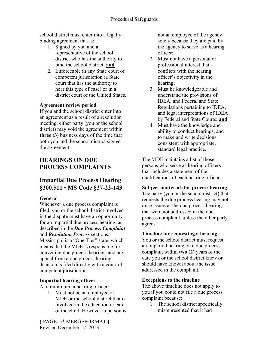school district must enter into a legally binding agreement that is:

- 1. Signed by you and a representative of the school district who has the authority to bind the school district; **and**
- 2. Enforceable in any State court of competent jurisdiction (a State court that has the authority to hear this type of case) or in a district court of the United States.

#### **Agreement review period**

If you and the school district enter into an agreement as a result of a resolution meeting, either party (you or the school district) may void the agreement within **three (3)** business days of the time that both you and the school district signed the agreement.

# **HEARINGS ON DUE PROCESS COMPLAINTS**

# **Impartial Due Process Hearing §300.511 • MS Code §37-23-143**

#### **General**

Whenever a due process complaint is filed, you or the school district involved in the dispute must have an opportunity for an impartial due process hearing, as described in the *Due Process Complaint*  and *Resolution Process* sections. Mississippi is a "One-Tier" state, which means that the MDE is responsible for convening due process hearings and any appeal from a due process hearing decision is filed directly with a court of competent jurisdiction.

### **Impartial hearing officer**

At a minimum, a hearing officer:

1. Must not be an employee of MDE or the school district that is involved in the education or care of the child. However, a person is not an employee of the agency solely because they are paid by the agency to serve as a hearing officer;

- 2. Must not have a personal or professional interest that conflicts with the hearing officer's objectivity in the hearing;
- 3. Must be knowledgeable and understand the provisions of IDEA, and Federal and State Regulations pertaining to IDEA, and legal interpretations of IDEA by Federal and State Courts; **and**
- 4. Must have the knowledge and ability to conduct hearings, and to make and write decisions, consistent with appropriate, standard legal practice.

The MDE maintains a list of those persons who serve as hearing officers that includes a statement of the qualifications of each hearing officer.

#### **Subject matter of due process hearing**

The party (you or the school district) that requests the due process hearing may not raise issues at the due process hearing that were not addressed in the due process complaint, unless the other party agrees.

#### **Timeline for requesting a hearing**

You or the school district must request an impartial hearing on a due process complaint within **two (2)** years of the date you or the school district knew or should have known about the issue addressed in the complaint.

#### **Exceptions to the timeline**

The above timeline does not apply to you if you could not file a due process complaint because:

1. The school district specifically misrepresented that it had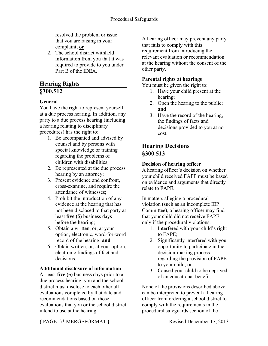resolved the problem or issue that you are raising in your complaint; **or**

2. The school district withheld information from you that it was required to provide to you under Part B of the **IDEA** 

# **Hearing Rights**

# **§300.512**

### **General**

You have the right to represent yourself at a due process hearing. In addition, any party to a due process hearing (including a hearing relating to disciplinary procedures) has the right to:

- 1. Be accompanied and advised by counsel and by persons with special knowledge or training regarding the problems of children with disabilities;
- 2. Be represented at the due process hearing by an attorney;
- 3. Present evidence and confront, cross-examine, and require the attendance of witnesses;
- 4. Prohibit the introduction of any evidence at the hearing that has not been disclosed to that party at least **five (5)** business days before the hearing;
- 5. Obtain a written, or, at your option, electronic, word-for-word record of the hearing; **and**
- 6. Obtain written, or, at your option, electronic findings of fact and decisions.

### **Additional disclosure of information**

At least **five (5)** business days prior to a due process hearing, you and the school district must disclose to each other all evaluations completed by that date and recommendations based on those evaluations that you or the school district intend to use at the hearing.

A hearing officer may prevent any party that fails to comply with this requirement from introducing the relevant evaluation or recommendation at the hearing without the consent of the other party.

### **Parental rights at hearings**

You must be given the right to:

- 1. Have your child present at the hearing;
- 2. Open the hearing to the public; **and**
- 3. Have the record of the hearing, the findings of facts and decisions provided to you at no cost.

# **Hearing Decisions §300.513**

### **Decision of hearing officer**

A hearing officer's decision on whether your child received FAPE must be based on evidence and arguments that directly relate to FAPE.

In matters alleging a procedural violation (such as an incomplete IEP Committee), a hearing officer may find that your child did not receive FAPE only if the procedural violations:

- 1. Interfered with your child's right to FAPE;
- 2. Significantly interfered with your opportunity to participate in the decision-making process regarding the provision of FAPE to your child; **or**
- 3. Caused your child to be deprived of an educational benefit.

None of the provisions described above can be interpreted to prevent a hearing officer from ordering a school district to comply with the requirements in the procedural safeguards section of the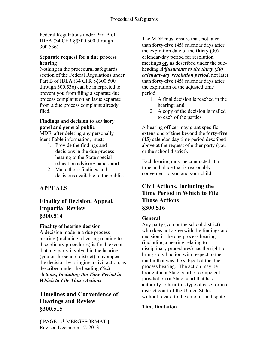Federal Regulations under Part B of IDEA (34 CFR §§300.500 through 300.536).

#### **Separate request for a due process hearing**

Nothing in the procedural safeguards section of the Federal Regulations under Part B of IDEA (34 CFR §§300.500 through 300.536) can be interpreted to prevent you from filing a separate due process complaint on an issue separate from a due process complaint already filed.

#### **Findings and decision to advisory panel and general public**

MDE, after deleting any personally identifiable information, must:

- 1. Provide the findings and decisions in the due process hearing to the State special education advisory panel; **and**
- 2. Make those findings and decisions available to the public.

# **APPEALS**

### **Finality of Decision, Appeal, Impartial Review §300.514**

### **Finality of hearing decision**

A decision made in a due process hearing (including a hearing relating to disciplinary procedures) is final, except that any party involved in the hearing (you or the school district) may appeal the decision by bringing a civil action, as described under the heading *Civil Actions, Including the Time Period in Which to File Those Actions*.

# **Timelines and Convenience of Hearings and Review §300.515**

The MDE must ensure that, not later than **forty-five (45)** calendar days after the expiration date of the **thirty (30)** calendar-day period for resolution meetings **or**, as described under the subheading *Adjustments to the thirty (30) calendar-day resolution period*, not later than **forty-five (45)** calendar days after the expiration of the adjusted time period:

- 1. A final decision is reached in the hearing; **and**
- 2. A copy of the decision is mailed to each of the parties.

A hearing officer may grant specific extensions of time beyond the **forty-five (45)** calendar-day time period described above at the request of either party (you or the school district).

Each hearing must be conducted at a time and place that is reasonably convenient to you and your child.

### **Civil Actions, Including the Time Period in Which to File Those Actions §300.516**

### **General**

Any party (you or the school district) who does not agree with the findings and decision in the due process hearing (including a hearing relating to disciplinary procedures) has the right to bring a civil action with respect to the matter that was the subject of the due process hearing. The action may be brought in a State court of competent jurisdiction (a State court that has authority to hear this type of case) or in a district court of the United States without regard to the amount in dispute.

### **Time limitation**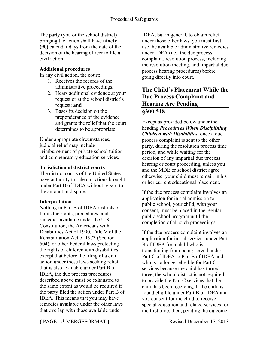The party (you or the school district) bringing the action shall have **ninety (90)** calendar days from the date of the decision of the hearing officer to file a civil action.

#### **Additional procedures**

In any civil action, the court:

- 1. Receives the records of the administrative proceedings;
- 2. Hears additional evidence at your request or at the school district's request; **and**
- 3. Bases its decision on the preponderance of the evidence and grants the relief that the court determines to be appropriate.

Under appropriate circumstances, judicial relief may include reimbursement of private school tuition and compensatory education services.

#### **Jurisdiction of district courts**

The district courts of the United States have authority to rule on actions brought under Part B of IDEA without regard to the amount in dispute.

#### **Interpretation**

Nothing in Part B of IDEA restricts or limits the rights, procedures, and remedies available under the U.S. Constitution, the Americans with Disabilities Act of 1990, Title V of the Rehabilitation Act of 1973 (Section 504), or other Federal laws protecting the rights of children with disabilities, except that before the filing of a civil action under these laws seeking relief that is also available under Part B of IDEA, the due process procedures described above must be exhausted to the same extent as would be required if the party filed the action under Part B of IDEA. This means that you may have remedies available under the other laws that overlap with those available under

IDEA, but in general, to obtain relief under those other laws, you must first use the available administrative remedies under IDEA (i.e., the due process complaint, resolution process, including the resolution meeting, and impartial due process hearing procedures) before going directly into court.

### **The Child's Placement While the Due Process Complaint and Hearing Are Pending §300.518**

Except as provided below under the heading *Procedures When Disciplining Children with Disabilities*, once a due process complaint is sent to the other party, during the resolution process time period, and while waiting for the decision of any impartial due process hearing or court proceeding, unless you and the MDE or school district agree otherwise, your child must remain in his or her current educational placement.

If the due process complaint involves an application for initial admission to public school, your child, with your consent, must be placed in the regular public school program until the completion of all such proceedings.

If the due process complaint involves an application for initial services under Part B of IDEA for a child who is transitioning from being served under Part C of IDEA to Part B of IDEA and who is no longer eligible for Part C services because the child has turned three, the school district is not required to provide the Part C services that the child has been receiving. If the child is found eligible under Part B of IDEA and you consent for the child to receive special education and related services for the first time, then, pending the outcome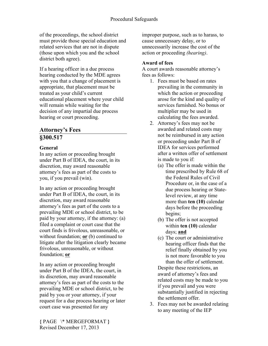of the proceedings, the school district must provide those special education and related services that are not in dispute (those upon which you and the school district both agree).

If a hearing officer in a due process hearing conducted by the MDE agrees with you that a change of placement is appropriate, that placement must be treated as your child's current educational placement where your child will remain while waiting for the decision of any impartial due process hearing or court proceeding.

# **Attorney's Fees §300.517**

#### **General**

In any action or proceeding brought under Part B of IDEA, the court, in its discretion, may award reasonable attorney's fees as part of the costs to you, if you prevail (win).

In any action or proceeding brought under Part B of IDEA, the court, in its discretion, may award reasonable attorney's fees as part of the costs to a prevailing MDE or school district, to be paid by your attorney, if the attorney: (a) filed a complaint or court case that the court finds is frivolous, unreasonable, or without foundation; **or** (b) continued to litigate after the litigation clearly became frivolous, unreasonable, or without foundation; **or**

In any action or proceeding brought under Part B of the IDEA, the court, in its discretion, may award reasonable attorney's fees as part of the costs to the prevailing MDE or school district, to be paid by you or your attorney, if your request for a due process hearing or later court case was presented for any

improper purpose, such as to harass, to cause unnecessary delay, or to unnecessarily increase the cost of the action or proceeding *(hearing)*.

### **Award of fees**

A court awards reasonable attorney's fees as follows:

- 1. Fees must be based on rates prevailing in the community in which the action or proceeding arose for the kind and quality of services furnished. No bonus or multiplier may be used in calculating the fees awarded.
- 2. Attorney's fees may not be awarded and related costs may not be reimbursed in any action or proceeding under Part B of IDEA for services performed after a written offer of settlement is made to you if:
	- (a) The offer is made within the time prescribed by Rule 68 of the Federal Rules of Civil Procedure or, in the case of a due process hearing or Statelevel review, at any time more than **ten (10)** calendar days before the proceeding begins;
	- (b) The offer is not accepted within **ten (10)** calendar days; **and**
	- (c) The court or administrative hearing officer finds that the relief finally obtained by you is not more favorable to you than the offer of settlement.

Despite these restrictions, an award of attorney's fees and related costs may be made to you if you prevail and you were substantially justified in rejecting the settlement offer.

3. Fees may not be awarded relating to any meeting of the IEP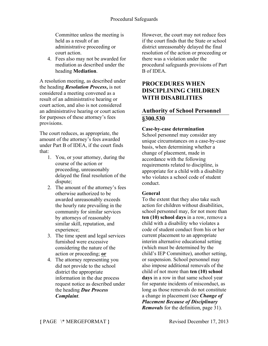Committee unless the meeting is held as a result of an administrative proceeding or court action.

4. Fees also may not be awarded for mediation as described under the heading **Mediation**.

A resolution meeting, as described under the heading *Resolution Process***,** is not considered a meeting convened as a result of an administrative hearing or court action, and also is not considered an administrative hearing or court action for purposes of these attorney's fees provisions.

The court reduces, as appropriate, the amount of the attorney's fees awarded under Part B of IDEA, if the court finds that:

- 1. You, or your attorney, during the course of the action or proceeding, unreasonably delayed the final resolution of the dispute;
- 2. The amount of the attorney's fees otherwise authorized to be awarded unreasonably exceeds the hourly rate prevailing in the community for similar services by attorneys of reasonably similar skill, reputation, and experience;
- 3. The time spent and legal services furnished were excessive considering the nature of the action or proceeding; **or**
- 4. The attorney representing you did not provide to the school district the appropriate information in the due process request notice as described under the heading *Due Process Complaint*.

However, the court may not reduce fees if the court finds that the State or school district unreasonably delayed the final resolution of the action or proceeding or there was a violation under the procedural safeguards provisions of Part B of IDEA.

# **PROCEDURES WHEN DISCIPLINING CHILDREN WITH DISABILITIES**

## **Authority of School Personnel §300.530**

#### **Case-by-case determination**

School personnel may consider any unique circumstances on a case-by-case basis, when determining whether a change of placement, made in accordance with the following requirements related to discipline, is appropriate for a child with a disability who violates a school code of student conduct.

#### **General**

To the extent that they also take such action for children without disabilities, school personnel may, for not more than **ten (10) school days** in a row, remove a child with a disability who violates a code of student conduct from his or her current placement to an appropriate interim alternative educational setting (which must be determined by the child's IEP Committee), another setting, or suspension. School personnel may also impose additional removals of the child of not more than **ten (10) school days** in a row in that same school year for separate incidents of misconduct, as long as those removals do not constitute a change in placement (see *Change of Placement Because of Disciplinary Removals* for the definition, page 31).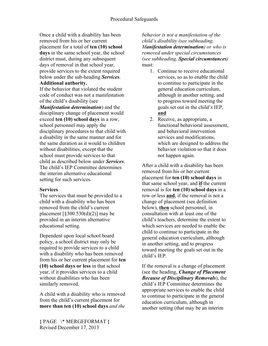Once a child with a disability has been removed from his or her current placement for a total of **ten (10) school days** in the same school year, the school district must, during any subsequent days of removal in that school year, provide services to the extent required below under the sub-heading *Services*.

#### **Additional authority.**

If the behavior that violated the student code of conduct was not a manifestation of the child's disability (see

*Manifestation determination*) and the disciplinary change of placement would exceed **ten (10) school days** in a row, school personnel may apply the disciplinary procedures to that child with a disability in the same manner and for the same duration as it would to children without disabilities, except that the school must provide services to that child as described below under *Services*. The child's IEP Committee determines the interim alternative educational setting for such services.

#### **Services**

The services that must be provided to a child with a disability who has been removed from the child's current placement  $\left[\frac{8300.530(d)}{2}\right]$  may be provided in an interim alternative educational setting.

Dependent upon local school board policy, a school district may only be required to provide services to a child with a disability who has been removed from his or her current placement for **ten (10) school days or less** in that school year, if it provides services to a child without disabilities who has been similarly removed.

A child with a disability who is removed from the child's current placement for **more than ten (10) school days** *and the* 

*behavior is not a manifestation of the child's disability (see subheading, Manifestation determination) or who is removed under special circumstances (see subheading, Special circumstances)*  must:

- 1. Continue to receive educational services, so as to enable the child to continue to participate in the general education curriculum, although in another setting, and to progress toward meeting the goals set out in the child's IEP; **and**
- 2. Receive, as appropriate, a functional behavioral assessment, and behavioral intervention services and modifications, which are designed to address the behavior violation so that it does not happen again.

After a child with a disability has been removed from his or her current placement for **ten (10) school days** in that same school year, and **if** the current removal is for **ten (10) school days** in a row or less **and**, if the removal is not a change of placement (see definition below), **then** school personnel, in consultation with at least one of the child's teachers, determine the extent to which services are needed to enable the child to continue to participate in the general education curriculum, although in another setting, and to progress toward meeting the goals set out in the child's IEP.

If the removal is a change of placement (see the heading, *Change of Placement Because of Disciplinary Removals*), the child's IEP Committee determines the appropriate services to enable the child to continue to participate in the general education curriculum, although in another setting (that may be an interim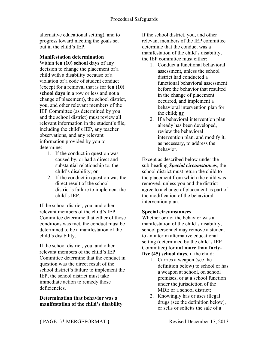alternative educational setting), and to progress toward meeting the goals set out in the child's IEP.

# **Manifestation determination**

Within **ten (10) school days** of any decision to change the placement of a child with a disability because of a violation of a code of student conduct (except for a removal that is for **ten (10) school days** in a row or less and not a change of placement), the school district, you, and other relevant members of the IEP Committee (as determined by you and the school district) must review all relevant information in the student's file, including the child's IEP, any teacher observations, and any relevant information provided by you to determine:

- 1. If the conduct in question was caused by, or had a direct and substantial relationship to, the child's disability; **or**
- 2. If the conduct in question was the direct result of the school district's failure to implement the child's IEP.

If the school district, you, and other relevant members of the child's IEP Committee determine that either of those conditions was met, the conduct must be determined to be a manifestation of the child's disability.

If the school district, you, and other relevant members of the child's IEP Committee determine that the conduct in question was the direct result of the school district's failure to implement the IEP, the school district must take immediate action to remedy those deficiencies.

#### **Determination that behavior was a manifestation of the child's disability**

If the school district, you, and other relevant members of the IEP committee determine that the conduct was a manifestation of the child's disability, the IEP committee must either:

- 1. Conduct a functional behavioral assessment, unless the school district had conducted a functional behavioral assessment before the behavior that resulted in the change of placement occurred, and implement a behavioral intervention plan for the child; **or**
- 2. If a behavioral intervention plan already has been developed, review the behavioral intervention plan, and modify it, as necessary, to address the behavior.

Except as described below under the sub-heading *Special circumstances*, the school district must return the child to the placement from which the child was removed, unless you and the district agree to a change of placement as part of the modification of the behavioral intervention plan.

### **Special circumstances**

Whether or not the behavior was a manifestation of the child's disability, school personnel may remove a student to an interim alternative educational setting (determined by the child's IEP Committee) for **not more than fortyfive (45) school days**, if the child:

- 1. Carries a weapon (see the definition below) to school or has a weapon at school, on school premises, or at a school function under the jurisdiction of the MDE or a school district;
- 2. Knowingly has or uses illegal drugs (see the definition below), or sells or solicits the sale of a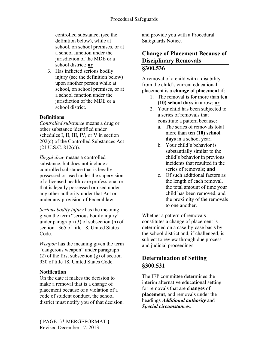controlled substance, (see the definition below), while at school, on school premises, or at a school function under the jurisdiction of the MDE or a school district; **or**

3. Has inflicted serious bodily injury (see the definition below) upon another person while at school, on school premises, or at a school function under the jurisdiction of the MDE or a school district.

### **Definitions**

*Controlled substance* means a drug or other substance identified under schedules I, II, III, IV, or V in section 202(c) of the Controlled Substances Act  $(21 \text{ U.S.C. } 812(c))$ .

*Illegal drug* means a controlled substance, but does not include a controlled substance that is legally possessed or used under the supervision of a licensed health-care professional or that is legally possessed or used under any other authority under that Act or under any provision of Federal law.

*Serious bodily injury* has the meaning given the term "serious bodily injury" under paragraph (3) of subsection (h) of section 1365 of title 18, United States Code.

*Weapon* has the meaning given the term "dangerous weapon" under paragraph (2) of the first subsection (g) of section 930 of title 18, United States Code.

### **Notification**

On the date it makes the decision to make a removal that is a change of placement because of a violation of a code of student conduct, the school district must notify you of that decision, and provide you with a Procedural Safeguards Notice.

## **Change of Placement Because of Disciplinary Removals §300.536**

A removal of a child with a disability from the child's current educational placement is a **change of placement** if:

- 1. The removal is for more than **ten (10) school days** in a row; **or**
- 2. Your child has been subjected to a series of removals that constitute a pattern because:
	- a. The series of removals total more than **ten (10) school days** in a school year;
	- b. Your child's behavior is substantially similar to the child's behavior in previous incidents that resulted in the series of removals; **and**
	- c. Of such additional factors as the length of each removal, the total amount of time your child has been removed, and the proximity of the removals to one another.

Whether a pattern of removals constitutes a change of placement is determined on a case-by-case basis by the school district and, if challenged, is subject to review through due process and judicial proceedings.

### **Determination of Setting §300.531**

The IEP committee determines the interim alternative educational setting for removals that are **changes** of **placement**, and removals under the headings *Additional authority* and *Special circumstances*.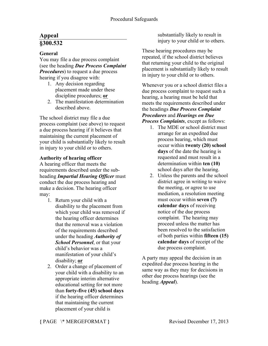# **Appeal §300.532**

### **General**

You may file a due process complaint (see the heading *Due Process Complaint Procedures*) to request a due process hearing if you disagree with:

- 1. Any decision regarding placement made under these discipline procedures; **or**
- 2. The manifestation determination described above.

The school district may file a due process complaint (see above) to request a due process hearing if it believes that maintaining the current placement of your child is substantially likely to result in injury to your child or to others.

#### **Authority of hearing officer**

A hearing officer that meets the requirements described under the subheading *Impartial Hearing Officer* must conduct the due process hearing and make a decision. The hearing officer may:

- 1. Return your child with a disability to the placement from which your child was removed if the hearing officer determines that the removal was a violation of the requirements described under the heading *Authority of School Personnel*, or that your child's behavior was a manifestation of your child's disability; **or**
- 2. Order a change of placement of your child with a disability to an appropriate interim alternative educational setting for not more than **forty-five (45) school days**  if the hearing officer determines that maintaining the current placement of your child is

substantially likely to result in injury to your child or to others.

These hearing procedures may be repeated, if the school district believes that returning your child to the original placement is substantially likely to result in injury to your child or to others.

Whenever you or a school district files a due process complaint to request such a hearing, a hearing must be held that meets the requirements described under the headings *Due Process Complaint Procedures* and *Hearings on Due Process Complaints*, except as follows:

- 1. The MDE or school district must arrange for an expedited due process hearing, which must occur within **twenty (20) school days** of the date the hearing is requested and must result in a determination within **ten (10)** school days after the hearing.
- 2. Unless the parents and the school district agree in writing to waive the meeting, or agree to use mediation, a resolution meeting must occur within **seven (7) calendar days** of receiving notice of the due process complaint. The hearing may proceed unless the matter has been resolved to the satisfaction of both parties within **fifteen (15) calendar days** of receipt of the due process complaint.

A party may appeal the decision in an expedited due process hearing in the same way as they may for decisions in other due process hearings (see the heading *Appeal*).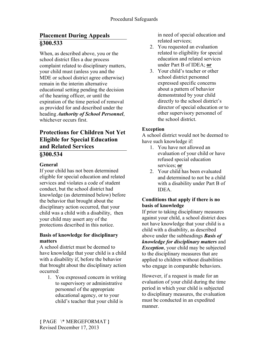# **Placement During Appeals §300.533**

When, as described above, you or the school district files a due process complaint related to disciplinary matters, your child must (unless you and the MDE or school district agree otherwise) remain in the interim alternative educational setting pending the decision of the hearing officer, or until the expiration of the time period of removal as provided for and described under the heading *Authority of School Personnel*, whichever occurs first.

# **Protections for Children Not Yet Eligible for Special Education and Related Services**

# **§300.534**

### **General**

If your child has not been determined eligible for special education and related services and violates a code of student conduct, but the school district had knowledge (as determined below) before the behavior that brought about the disciplinary action occurred, that your child was a child with a disability, then your child may assert any of the protections described in this notice.

#### **Basis of knowledge for disciplinary matters**

A school district must be deemed to have knowledge that your child is a child with a disability if, before the behavior that brought about the disciplinary action occurred:

1. You expressed concern in writing to supervisory or administrative personnel of the appropriate educational agency, or to your child's teacher that your child is

in need of special education and related services;

- 2. You requested an evaluation related to eligibility for special education and related services under Part B of IDEA; **or**
- 3. Your child's teacher or other school district personnel expressed specific concerns about a pattern of behavior demonstrated by your child directly to the school district's director of special education or to other supervisory personnel of the school district.

### **Exception**

A school district would not be deemed to have such knowledge if:

- 1. You have not allowed an evaluation of your child or have refused special education services; **or**
- 2. Your child has been evaluated and determined to not be a child with a disability under Part B of IDEA.

#### **Conditions that apply if there is no basis of knowledge**

If prior to taking disciplinary measures against your child, a school district does not have knowledge that your child is a child with a disability, as described above under the subheadings *Basis of knowledge for disciplinary matters* and *Exception*, your child may be subjected to the disciplinary measures that are applied to children without disabilities who engage in comparable behaviors.

However, if a request is made for an evaluation of your child during the time period in which your child is subjected to disciplinary measures, the evaluation must be conducted in an expedited manner.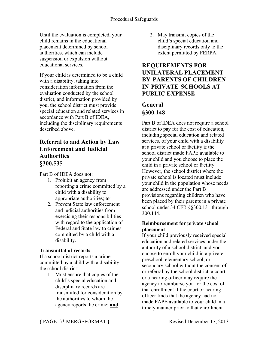Until the evaluation is completed, your child remains in the educational placement determined by school authorities, which can include suspension or expulsion without educational services.

If your child is determined to be a child with a disability, taking into consideration information from the evaluation conducted by the school district, and information provided by you, the school district must provide special education and related services in accordance with Part B of IDEA, including the disciplinary requirements described above.

### **Referral to and Action by Law Enforcement and Judicial Authorities §300.535**

Part B of IDEA does not:

- 1. Prohibit an agency from reporting a crime committed by a child with a disability to appropriate authorities; **or**
- 2. Prevent State law enforcement and judicial authorities from exercising their responsibilities with regard to the application of Federal and State law to crimes committed by a child with a disability.

### **Transmittal of records**

If a school district reports a crime committed by a child with a disability, the school district:

1. Must ensure that copies of the child's special education and disciplinary records are transmitted for consideration by the authorities to whom the agency reports the crime; **and**

2. May transmit copies of the child's special education and disciplinary records only to the extent permitted by FERPA.

## **REQUIREMENTS FOR UNILATERAL PLACEMENT BY PARENTS OF CHILDREN IN PRIVATE SCHOOLS AT PUBLIC EXPENSE**

### **General §300.148**

Part B of IDEA does not require a school district to pay for the cost of education, including special education and related services, of your child with a disability at a private school or facility if the school district made FAPE available to your child and you choose to place the child in a private school or facility. However, the school district where the private school is located must include your child in the population whose needs are addressed under the Part B provisions regarding children who have been placed by their parents in a private school under 34 CFR §§300.131 through 300.144.

### **Reimbursement for private school placement**

If your child previously received special education and related services under the authority of a school district, and you choose to enroll your child in a private preschool, elementary school, or secondary school without the consent of or referral by the school district, a court or a hearing officer may require the agency to reimburse you for the cost of that enrollment if the court or hearing officer finds that the agency had not made FAPE available to your child in a timely manner prior to that enrollment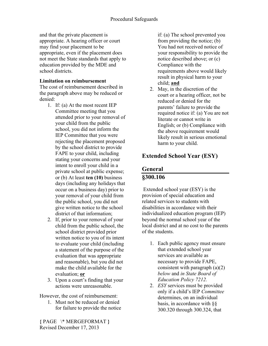and that the private placement is appropriate. A hearing officer or court may find your placement to be appropriate, even if the placement does not meet the State standards that apply to education provided by the MDE and school districts.

#### **Limitation on reimbursement**

The cost of reimbursement described in the paragraph above may be reduced or denied:

- 1. If: (a) At the most recent IEP Committee meeting that you attended prior to your removal of your child from the public school, you did not inform the IEP Committee that you were rejecting the placement proposed by the school district to provide FAPE to your child, including stating your concerns and your intent to enroll your child in a private school at public expense; or (b) At least **ten (10)** business days (including any holidays that occur on a business day) prior to your removal of your child from the public school, you did not give written notice to the school district of that information;
- 2. If, prior to your removal of your child from the public school, the school district provided prior written notice to you of its intent to evaluate your child (including a statement of the purpose of the evaluation that was appropriate and reasonable), but you did not make the child available for the evaluation; **or**
- 3. Upon a court's finding that your actions were unreasonable.

However, the cost of reimbursement:

1. Must not be reduced or denied for failure to provide the notice if: (a) The school prevented you from providing the notice; (b) You had not received notice of your responsibility to provide the notice described above; or (c) Compliance with the requirements above would likely result in physical harm to your child; **and**

2. May, in the discretion of the court or a hearing officer, not be reduced or denied for the parents' failure to provide the required notice if: (a) You are not literate or cannot write in English; or (b) Compliance with the above requirement would likely result in serious emotional harm to your child.

# **Extended School Year (ESY)**

# **General**

# **§300.106**

Extended school year (ESY) is the provision of special education and related services to students with disabilities in accordance with their individualized education program (IEP) beyond the normal school year of the local district and at no cost to the parents of the students.

- 1. Each public agency must ensure that extended school year services are available as necessary to provide FAPE, consistent with paragraph (a)(2) *below* and *in State Board of Education Policy 7212.*
- 2. *ESY* services must be provided only if a child's IEP *Committee*  determines, on an individual basis, in accordance with §§ 300.320 through 300.324, that